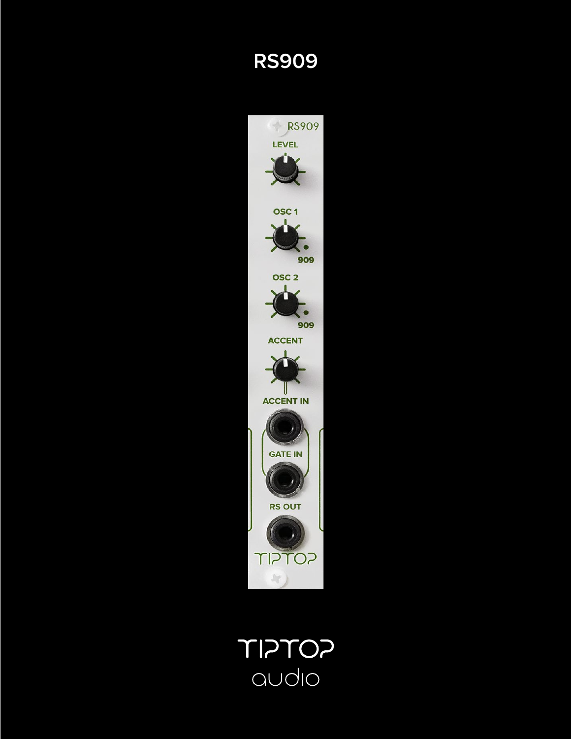## **RS909**



SOTSIT audio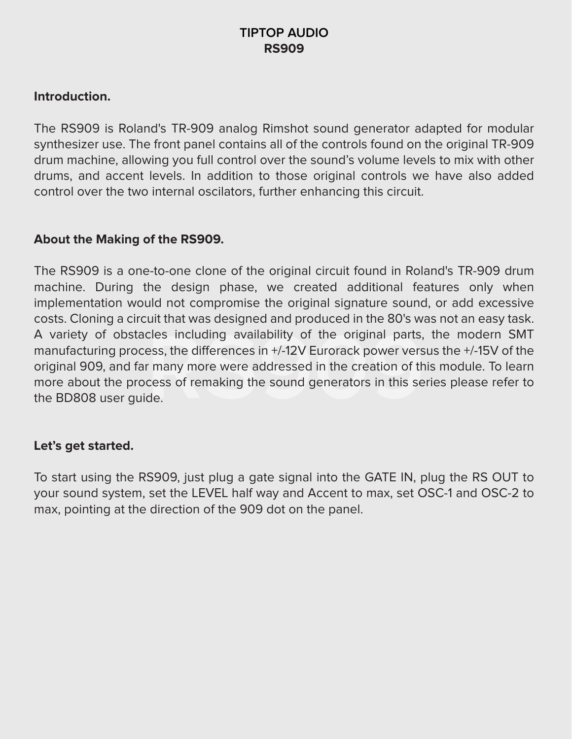### **TIPTOP AUDIO RS909**

#### **Introduction.**

The RS909 is Roland's TR-909 analog Rimshot sound generator adapted for modular synthesizer use. The front panel contains all of the controls found on the original TR-909 drum machine, allowing you full control over the sound's volume levels to mix with other drums, and accent levels. In addition to those original controls we have also added control over the two internal oscilators, further enhancing this circuit.

#### **About the Making of the RS909.**

A variety of obstacles including availability of the original parts, the modern SMT manufacturing process, the differences in +/-12V Eurorack power versus the +/-15V of the original 909, and far many more were addressed in The RS909 is a one-to-one clone of the original circuit found in Roland's TR-909 drum machine. During the design phase, we created additional features only when implementation would not compromise the original signature sound, or add excessive costs. Cloning a circuit that was designed and produced in the 80's was not an easy task. manufacturing process, the differences in  $+/-12V$  Eurorack power versus the  $+/-15V$  of the original 909, and far many more were addressed in the creation of this module. To learn more about the process of remaking the sound generators in this series please refer to the BD808 user guide.

#### **Let's get started.**

To start using the RS909, just plug a gate signal into the GATE IN, plug the RS OUT to your sound system, set the LEVEL half way and Accent to max, set OSC-1 and OSC-2 to max, pointing at the direction of the 909 dot on the panel.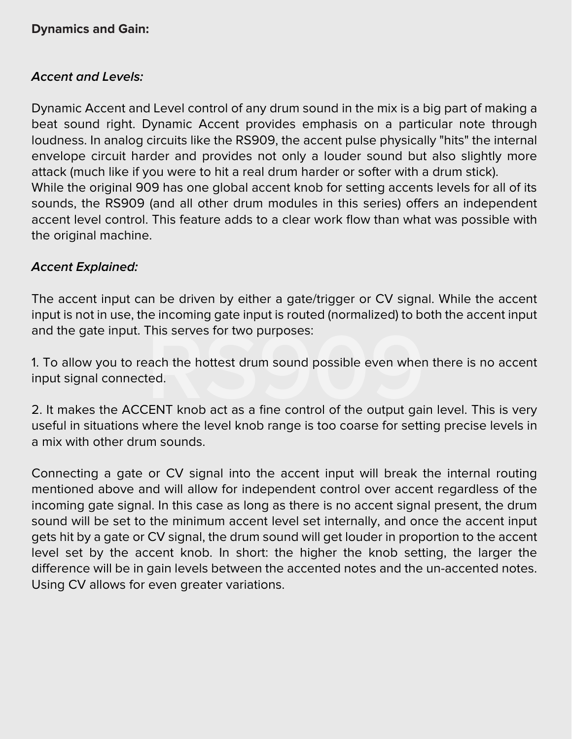#### **Dynamics and Gain:**

#### **Accent and Levels:**

Dynamic Accent and Level control of any drum sound in the mix is a big part of making a beat sound right. Dynamic Accent provides emphasis on a particular note through loudness. In analog circuits like the RS909, the accent pulse physically "hits" the internal envelope circuit harder and provides not only a louder sound but also slightly more attack (much like if you were to hit a real drum harder or softer with a drum stick). While the original 909 has one global accent knob for setting accents levels for all of its sounds, the RS909 (and all other drum modules in this series) offers an independent accent level control. This feature adds to a clear work flow than what was possible with the original machine.

#### **Accent Explained:**

The accent input can be driven by either a gate/trigger or CV signal. While the accent input is not in use, the incoming gate input is routed (normalized) to both the accent input and the gate input. This serves for two purposes:

and the gate input. This serves for two purposes:<br>1. To allow you to reach the hottest drum sound possible even when there is no accent<br>input signal connected.<br>2. It makes the ACCENT knob act as a fine control of the outpu 1. To allow you to reach the hottest drum sound possible even when there is no accent input signal connected.

useful in situations where the level knob range is too coarse for setting precise levels in a mix with other drum sounds.

Connecting a gate or CV signal into the accent input will break the internal routing mentioned above and will allow for independent control over accent regardless of the incoming gate signal. In this case as long as there is no accent signal present, the drum sound will be set to the minimum accent level set internally, and once the accent input gets hit by a gate or CV signal, the drum sound will get louder in proportion to the accent level set by the accent knob. In short: the higher the knob setting, the larger the difference will be in gain levels between the accented notes and the un-accented notes. Using CV allows for even greater variations.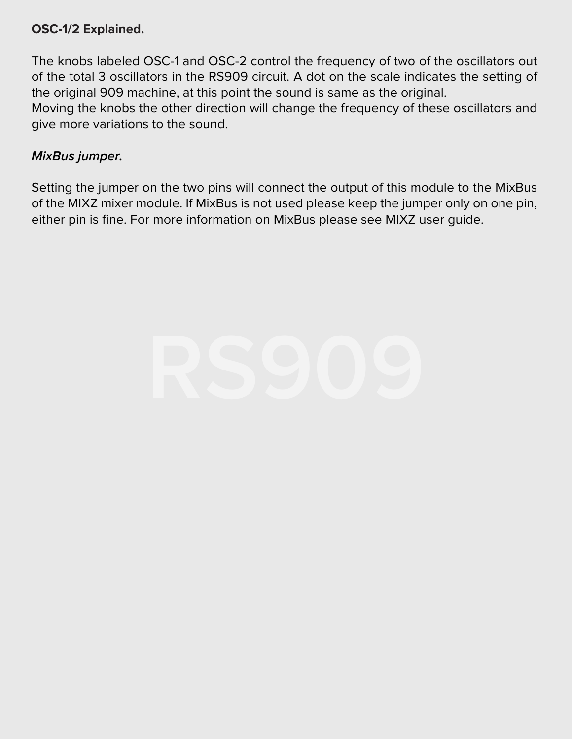#### **OSC-1/2 Explained.**

The knobs labeled OSC-1 and OSC-2 control the frequency of two of the oscillators out of the total 3 oscillators in the RS909 circuit. A dot on the scale indicates the setting of the original 909 machine, at this point the sound is same as the original.

Moving the knobs the other direction will change the frequency of these oscillators and give more variations to the sound.

#### **MixBus jumper.**

Setting the jumper on the two pins will connect the output of this module to the MixBus of the MIXZ mixer module. If MixBus is not used please keep the jumper only on one pin, either pin is fine. For more information on MixBus please see MIXZ user guide.